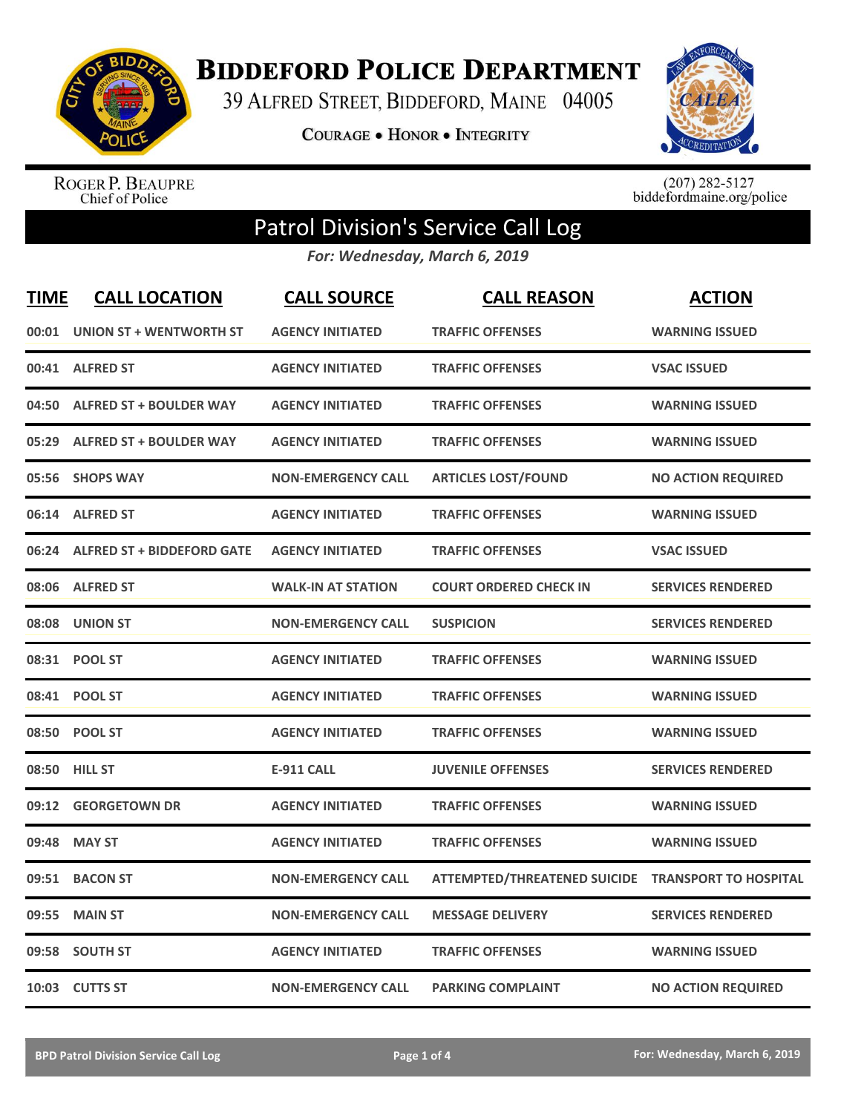

**BIDDEFORD POLICE DEPARTMENT** 

39 ALFRED STREET, BIDDEFORD, MAINE 04005

**COURAGE . HONOR . INTEGRITY** 



ROGER P. BEAUPRE<br>Chief of Police

 $(207)$  282-5127<br>biddefordmaine.org/police

## Patrol Division's Service Call Log

*For: Wednesday, March 6, 2019*

| <b>TIME</b> | <b>CALL LOCATION</b>              | <b>CALL SOURCE</b>        | <b>CALL REASON</b>                  | <b>ACTION</b>                |
|-------------|-----------------------------------|---------------------------|-------------------------------------|------------------------------|
| 00:01       | <b>UNION ST + WENTWORTH ST</b>    | <b>AGENCY INITIATED</b>   | <b>TRAFFIC OFFENSES</b>             | <b>WARNING ISSUED</b>        |
|             | 00:41 ALFRED ST                   | <b>AGENCY INITIATED</b>   | <b>TRAFFIC OFFENSES</b>             | <b>VSAC ISSUED</b>           |
| 04:50       | <b>ALFRED ST + BOULDER WAY</b>    | <b>AGENCY INITIATED</b>   | <b>TRAFFIC OFFENSES</b>             | <b>WARNING ISSUED</b>        |
| 05:29       | <b>ALFRED ST + BOULDER WAY</b>    | <b>AGENCY INITIATED</b>   | <b>TRAFFIC OFFENSES</b>             | <b>WARNING ISSUED</b>        |
| 05:56       | <b>SHOPS WAY</b>                  | <b>NON-EMERGENCY CALL</b> | <b>ARTICLES LOST/FOUND</b>          | <b>NO ACTION REQUIRED</b>    |
|             | 06:14 ALFRED ST                   | <b>AGENCY INITIATED</b>   | <b>TRAFFIC OFFENSES</b>             | <b>WARNING ISSUED</b>        |
| 06:24       | <b>ALFRED ST + BIDDEFORD GATE</b> | <b>AGENCY INITIATED</b>   | <b>TRAFFIC OFFENSES</b>             | <b>VSAC ISSUED</b>           |
|             | 08:06 ALFRED ST                   | <b>WALK-IN AT STATION</b> | <b>COURT ORDERED CHECK IN</b>       | <b>SERVICES RENDERED</b>     |
| 08:08       | <b>UNION ST</b>                   | <b>NON-EMERGENCY CALL</b> | <b>SUSPICION</b>                    | <b>SERVICES RENDERED</b>     |
|             | 08:31 POOL ST                     | <b>AGENCY INITIATED</b>   | <b>TRAFFIC OFFENSES</b>             | <b>WARNING ISSUED</b>        |
|             | 08:41 POOL ST                     | <b>AGENCY INITIATED</b>   | <b>TRAFFIC OFFENSES</b>             | <b>WARNING ISSUED</b>        |
|             | 08:50 POOL ST                     | <b>AGENCY INITIATED</b>   | <b>TRAFFIC OFFENSES</b>             | <b>WARNING ISSUED</b>        |
|             | 08:50 HILL ST                     | <b>E-911 CALL</b>         | <b>JUVENILE OFFENSES</b>            | <b>SERVICES RENDERED</b>     |
| 09:12       | <b>GEORGETOWN DR</b>              | <b>AGENCY INITIATED</b>   | <b>TRAFFIC OFFENSES</b>             | <b>WARNING ISSUED</b>        |
| 09:48       | <b>MAY ST</b>                     | <b>AGENCY INITIATED</b>   | <b>TRAFFIC OFFENSES</b>             | <b>WARNING ISSUED</b>        |
| 09:51       | <b>BACON ST</b>                   | <b>NON-EMERGENCY CALL</b> | <b>ATTEMPTED/THREATENED SUICIDE</b> | <b>TRANSPORT TO HOSPITAL</b> |
| 09:55       | <b>MAIN ST</b>                    | <b>NON-EMERGENCY CALL</b> | <b>MESSAGE DELIVERY</b>             | <b>SERVICES RENDERED</b>     |
| 09:58       | <b>SOUTH ST</b>                   | <b>AGENCY INITIATED</b>   | <b>TRAFFIC OFFENSES</b>             | <b>WARNING ISSUED</b>        |
|             | 10:03 CUTTS ST                    | <b>NON-EMERGENCY CALL</b> | <b>PARKING COMPLAINT</b>            | <b>NO ACTION REQUIRED</b>    |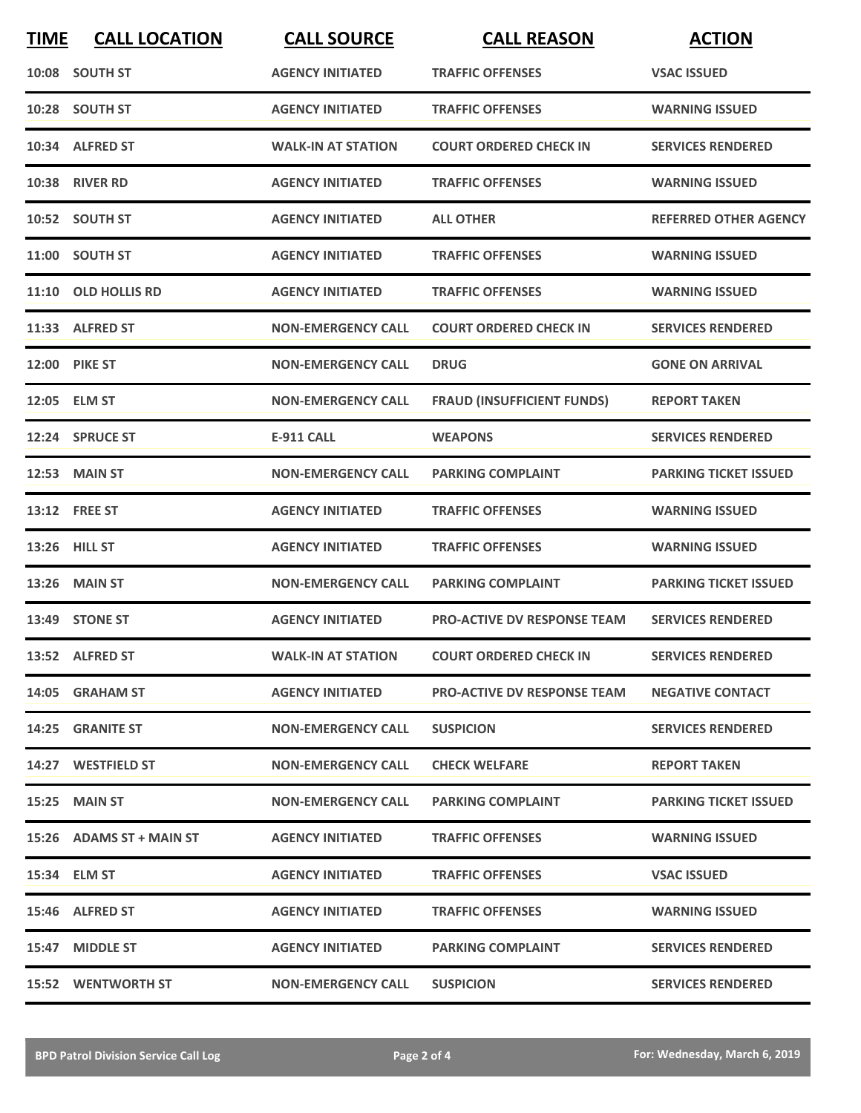| <b>TIME</b> | <b>CALL LOCATION</b>      | <b>CALL SOURCE</b>        | <b>CALL REASON</b>                 | <b>ACTION</b>                |
|-------------|---------------------------|---------------------------|------------------------------------|------------------------------|
|             | 10:08 SOUTH ST            | <b>AGENCY INITIATED</b>   | <b>TRAFFIC OFFENSES</b>            | <b>VSAC ISSUED</b>           |
|             | 10:28 SOUTH ST            | <b>AGENCY INITIATED</b>   | <b>TRAFFIC OFFENSES</b>            | <b>WARNING ISSUED</b>        |
|             | 10:34 ALFRED ST           | <b>WALK-IN AT STATION</b> | <b>COURT ORDERED CHECK IN</b>      | <b>SERVICES RENDERED</b>     |
|             | <b>10:38 RIVER RD</b>     | <b>AGENCY INITIATED</b>   | <b>TRAFFIC OFFENSES</b>            | <b>WARNING ISSUED</b>        |
|             | 10:52 SOUTH ST            | <b>AGENCY INITIATED</b>   | <b>ALL OTHER</b>                   | <b>REFERRED OTHER AGENCY</b> |
|             | 11:00 SOUTH ST            | <b>AGENCY INITIATED</b>   | <b>TRAFFIC OFFENSES</b>            | <b>WARNING ISSUED</b>        |
|             | 11:10 OLD HOLLIS RD       | <b>AGENCY INITIATED</b>   | <b>TRAFFIC OFFENSES</b>            | <b>WARNING ISSUED</b>        |
|             | 11:33 ALFRED ST           | <b>NON-EMERGENCY CALL</b> | <b>COURT ORDERED CHECK IN</b>      | <b>SERVICES RENDERED</b>     |
|             | 12:00 PIKE ST             | <b>NON-EMERGENCY CALL</b> | <b>DRUG</b>                        | <b>GONE ON ARRIVAL</b>       |
|             | 12:05 ELM ST              | <b>NON-EMERGENCY CALL</b> | <b>FRAUD (INSUFFICIENT FUNDS)</b>  | <b>REPORT TAKEN</b>          |
|             | 12:24 SPRUCE ST           | <b>E-911 CALL</b>         | <b>WEAPONS</b>                     | <b>SERVICES RENDERED</b>     |
|             | <b>12:53 MAIN ST</b>      | <b>NON-EMERGENCY CALL</b> | <b>PARKING COMPLAINT</b>           | <b>PARKING TICKET ISSUED</b> |
|             | 13:12 FREE ST             | <b>AGENCY INITIATED</b>   | <b>TRAFFIC OFFENSES</b>            | <b>WARNING ISSUED</b>        |
|             | 13:26 HILL ST             | <b>AGENCY INITIATED</b>   | <b>TRAFFIC OFFENSES</b>            | <b>WARNING ISSUED</b>        |
|             | 13:26 MAIN ST             | <b>NON-EMERGENCY CALL</b> | <b>PARKING COMPLAINT</b>           | <b>PARKING TICKET ISSUED</b> |
|             | 13:49 STONE ST            | <b>AGENCY INITIATED</b>   | <b>PRO-ACTIVE DV RESPONSE TEAM</b> | <b>SERVICES RENDERED</b>     |
|             | 13:52 ALFRED ST           | <b>WALK-IN AT STATION</b> | <b>COURT ORDERED CHECK IN</b>      | <b>SERVICES RENDERED</b>     |
|             | 14:05 GRAHAM ST           | <b>AGENCY INITIATED</b>   | <b>PRO-ACTIVE DV RESPONSE TEAM</b> | <b>NEGATIVE CONTACT</b>      |
|             | 14:25 GRANITE ST          | <b>NON-EMERGENCY CALL</b> | <b>SUSPICION</b>                   | <b>SERVICES RENDERED</b>     |
|             | 14:27 WESTFIELD ST        | <b>NON-EMERGENCY CALL</b> | <b>CHECK WELFARE</b>               | <b>REPORT TAKEN</b>          |
|             | <b>15:25 MAIN ST</b>      | <b>NON-EMERGENCY CALL</b> | <b>PARKING COMPLAINT</b>           | <b>PARKING TICKET ISSUED</b> |
|             | 15:26 ADAMS ST + MAIN ST  | <b>AGENCY INITIATED</b>   | <b>TRAFFIC OFFENSES</b>            | <b>WARNING ISSUED</b>        |
|             | 15:34 ELM ST              | <b>AGENCY INITIATED</b>   | <b>TRAFFIC OFFENSES</b>            | <b>VSAC ISSUED</b>           |
|             | 15:46 ALFRED ST           | <b>AGENCY INITIATED</b>   | <b>TRAFFIC OFFENSES</b>            | <b>WARNING ISSUED</b>        |
|             | 15:47 MIDDLE ST           | <b>AGENCY INITIATED</b>   | <b>PARKING COMPLAINT</b>           | <b>SERVICES RENDERED</b>     |
|             | <b>15:52 WENTWORTH ST</b> | <b>NON-EMERGENCY CALL</b> | <b>SUSPICION</b>                   | <b>SERVICES RENDERED</b>     |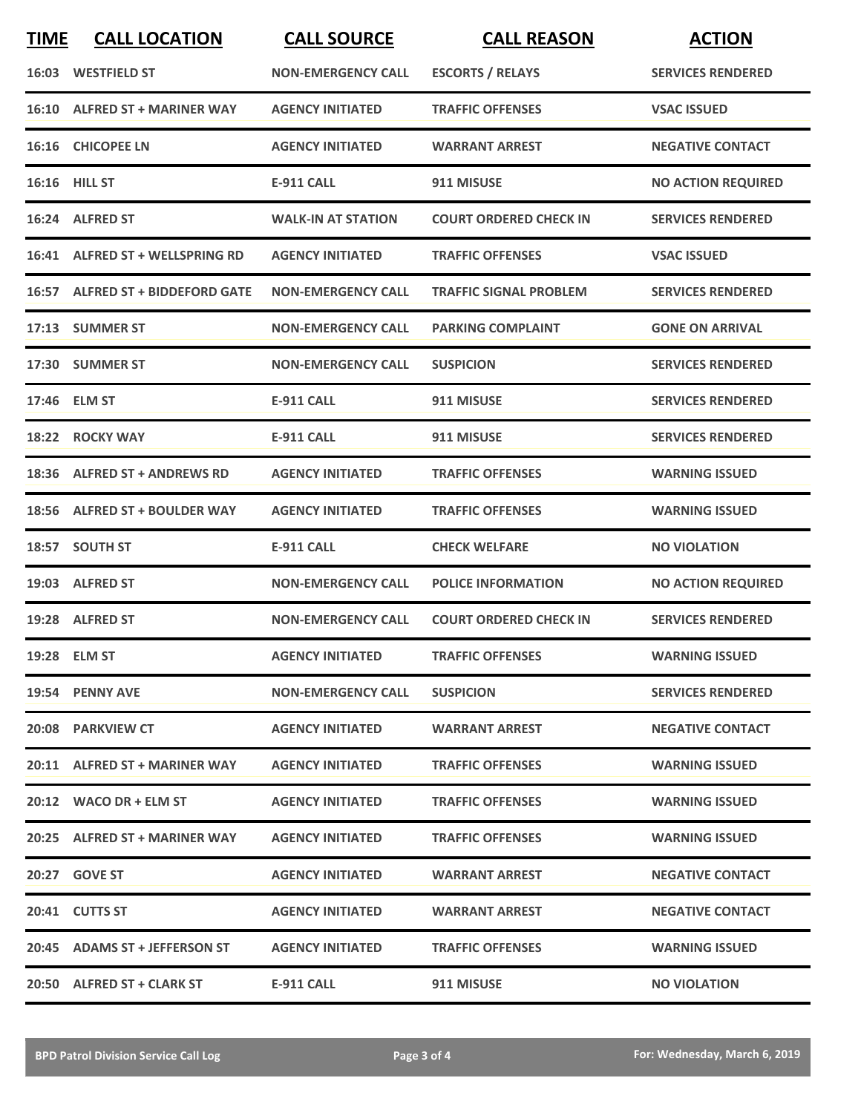| <b>TIME</b> | <b>CALL LOCATION</b>             | <b>CALL SOURCE</b>        | <b>CALL REASON</b>            | <b>ACTION</b>             |
|-------------|----------------------------------|---------------------------|-------------------------------|---------------------------|
|             | 16:03 WESTFIELD ST               | <b>NON-EMERGENCY CALL</b> | <b>ESCORTS / RELAYS</b>       | <b>SERVICES RENDERED</b>  |
|             | 16:10 ALFRED ST + MARINER WAY    | <b>AGENCY INITIATED</b>   | <b>TRAFFIC OFFENSES</b>       | <b>VSAC ISSUED</b>        |
|             | 16:16 CHICOPEE LN                | <b>AGENCY INITIATED</b>   | <b>WARRANT ARREST</b>         | <b>NEGATIVE CONTACT</b>   |
|             | <b>16:16 HILL ST</b>             | E-911 CALL                | 911 MISUSE                    | <b>NO ACTION REQUIRED</b> |
|             | 16:24 ALFRED ST                  | <b>WALK-IN AT STATION</b> | <b>COURT ORDERED CHECK IN</b> | <b>SERVICES RENDERED</b>  |
|             | 16:41 ALFRED ST + WELLSPRING RD  | <b>AGENCY INITIATED</b>   | <b>TRAFFIC OFFENSES</b>       | <b>VSAC ISSUED</b>        |
|             | 16:57 ALFRED ST + BIDDEFORD GATE | <b>NON-EMERGENCY CALL</b> | <b>TRAFFIC SIGNAL PROBLEM</b> | <b>SERVICES RENDERED</b>  |
|             | 17:13 SUMMER ST                  | <b>NON-EMERGENCY CALL</b> | <b>PARKING COMPLAINT</b>      | <b>GONE ON ARRIVAL</b>    |
|             | 17:30 SUMMER ST                  | <b>NON-EMERGENCY CALL</b> | <b>SUSPICION</b>              | <b>SERVICES RENDERED</b>  |
|             | 17:46 ELM ST                     | <b>E-911 CALL</b>         | 911 MISUSE                    | <b>SERVICES RENDERED</b>  |
| 18:22       | <b>ROCKY WAY</b>                 | <b>E-911 CALL</b>         | 911 MISUSE                    | <b>SERVICES RENDERED</b>  |
|             | 18:36 ALFRED ST + ANDREWS RD     | <b>AGENCY INITIATED</b>   | <b>TRAFFIC OFFENSES</b>       | <b>WARNING ISSUED</b>     |
| 18:56       | <b>ALFRED ST + BOULDER WAY</b>   | <b>AGENCY INITIATED</b>   | <b>TRAFFIC OFFENSES</b>       | <b>WARNING ISSUED</b>     |
|             | 18:57 SOUTH ST                   | <b>E-911 CALL</b>         | <b>CHECK WELFARE</b>          | <b>NO VIOLATION</b>       |
|             | 19:03 ALFRED ST                  | <b>NON-EMERGENCY CALL</b> | <b>POLICE INFORMATION</b>     | <b>NO ACTION REQUIRED</b> |
|             | 19:28 ALFRED ST                  | <b>NON-EMERGENCY CALL</b> | <b>COURT ORDERED CHECK IN</b> | <b>SERVICES RENDERED</b>  |
|             | 19:28 ELM ST                     | <b>AGENCY INITIATED</b>   | <b>TRAFFIC OFFENSES</b>       | <b>WARNING ISSUED</b>     |
|             | 19:54 PENNY AVE                  | <b>NON-EMERGENCY CALL</b> | <b>SUSPICION</b>              | <b>SERVICES RENDERED</b>  |
|             | 20:08 PARKVIEW CT                | <b>AGENCY INITIATED</b>   | <b>WARRANT ARREST</b>         | <b>NEGATIVE CONTACT</b>   |
|             | 20:11 ALFRED ST + MARINER WAY    | <b>AGENCY INITIATED</b>   | <b>TRAFFIC OFFENSES</b>       | <b>WARNING ISSUED</b>     |
|             | 20:12 WACO DR + ELM ST           | <b>AGENCY INITIATED</b>   | <b>TRAFFIC OFFENSES</b>       | <b>WARNING ISSUED</b>     |
|             | 20:25 ALFRED ST + MARINER WAY    | <b>AGENCY INITIATED</b>   | <b>TRAFFIC OFFENSES</b>       | <b>WARNING ISSUED</b>     |
|             | 20:27 GOVE ST                    | <b>AGENCY INITIATED</b>   | <b>WARRANT ARREST</b>         | <b>NEGATIVE CONTACT</b>   |
|             | 20:41 CUTTS ST                   | <b>AGENCY INITIATED</b>   | <b>WARRANT ARREST</b>         | <b>NEGATIVE CONTACT</b>   |
|             | 20:45 ADAMS ST + JEFFERSON ST    | <b>AGENCY INITIATED</b>   | <b>TRAFFIC OFFENSES</b>       | <b>WARNING ISSUED</b>     |
|             | 20:50 ALFRED ST + CLARK ST       | E-911 CALL                | 911 MISUSE                    | <b>NO VIOLATION</b>       |